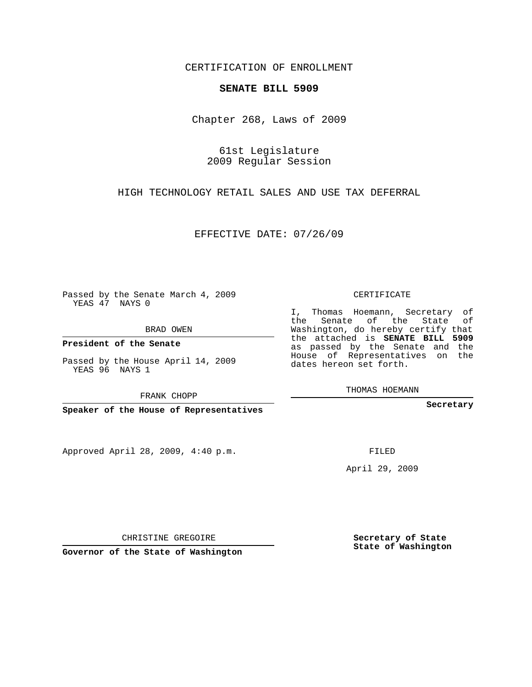## CERTIFICATION OF ENROLLMENT

## **SENATE BILL 5909**

Chapter 268, Laws of 2009

61st Legislature 2009 Regular Session

HIGH TECHNOLOGY RETAIL SALES AND USE TAX DEFERRAL

EFFECTIVE DATE: 07/26/09

Passed by the Senate March 4, 2009 YEAS 47 NAYS 0

BRAD OWEN

**President of the Senate**

Passed by the House April 14, 2009 YEAS 96 NAYS 1

FRANK CHOPP

**Speaker of the House of Representatives**

Approved April 28, 2009, 4:40 p.m.

CERTIFICATE

I, Thomas Hoemann, Secretary of the Senate of the State of Washington, do hereby certify that the attached is **SENATE BILL 5909** as passed by the Senate and the House of Representatives on the dates hereon set forth.

THOMAS HOEMANN

**Secretary**

FILED

April 29, 2009

**State of Washington**

**Governor of the State of Washington**

CHRISTINE GREGOIRE

**Secretary of State**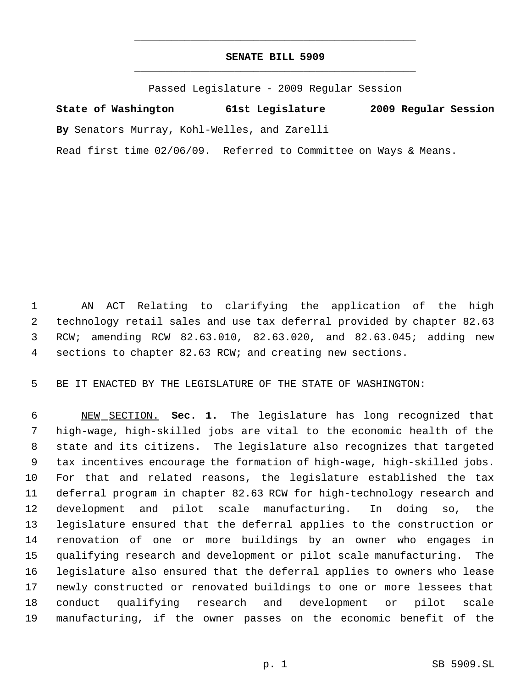## **SENATE BILL 5909** \_\_\_\_\_\_\_\_\_\_\_\_\_\_\_\_\_\_\_\_\_\_\_\_\_\_\_\_\_\_\_\_\_\_\_\_\_\_\_\_\_\_\_\_\_

\_\_\_\_\_\_\_\_\_\_\_\_\_\_\_\_\_\_\_\_\_\_\_\_\_\_\_\_\_\_\_\_\_\_\_\_\_\_\_\_\_\_\_\_\_

Passed Legislature - 2009 Regular Session

**State of Washington 61st Legislature 2009 Regular Session By** Senators Murray, Kohl-Welles, and Zarelli

Read first time 02/06/09. Referred to Committee on Ways & Means.

 AN ACT Relating to clarifying the application of the high technology retail sales and use tax deferral provided by chapter 82.63 RCW; amending RCW 82.63.010, 82.63.020, and 82.63.045; adding new sections to chapter 82.63 RCW; and creating new sections.

BE IT ENACTED BY THE LEGISLATURE OF THE STATE OF WASHINGTON:

 NEW SECTION. **Sec. 1.** The legislature has long recognized that high-wage, high-skilled jobs are vital to the economic health of the state and its citizens. The legislature also recognizes that targeted tax incentives encourage the formation of high-wage, high-skilled jobs. For that and related reasons, the legislature established the tax deferral program in chapter 82.63 RCW for high-technology research and development and pilot scale manufacturing. In doing so, the legislature ensured that the deferral applies to the construction or renovation of one or more buildings by an owner who engages in qualifying research and development or pilot scale manufacturing. The legislature also ensured that the deferral applies to owners who lease newly constructed or renovated buildings to one or more lessees that conduct qualifying research and development or pilot scale manufacturing, if the owner passes on the economic benefit of the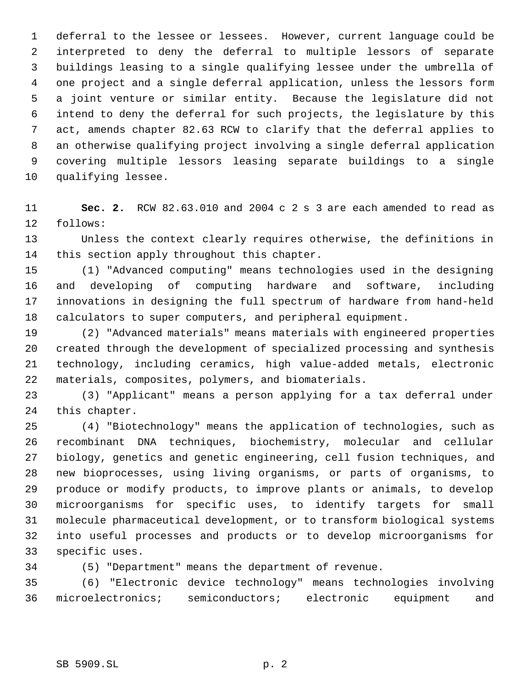deferral to the lessee or lessees. However, current language could be interpreted to deny the deferral to multiple lessors of separate buildings leasing to a single qualifying lessee under the umbrella of one project and a single deferral application, unless the lessors form a joint venture or similar entity. Because the legislature did not intend to deny the deferral for such projects, the legislature by this act, amends chapter 82.63 RCW to clarify that the deferral applies to an otherwise qualifying project involving a single deferral application covering multiple lessors leasing separate buildings to a single qualifying lessee.

 **Sec. 2.** RCW 82.63.010 and 2004 c 2 s 3 are each amended to read as follows:

 Unless the context clearly requires otherwise, the definitions in this section apply throughout this chapter.

 (1) "Advanced computing" means technologies used in the designing and developing of computing hardware and software, including innovations in designing the full spectrum of hardware from hand-held calculators to super computers, and peripheral equipment.

 (2) "Advanced materials" means materials with engineered properties created through the development of specialized processing and synthesis technology, including ceramics, high value-added metals, electronic materials, composites, polymers, and biomaterials.

 (3) "Applicant" means a person applying for a tax deferral under this chapter.

 (4) "Biotechnology" means the application of technologies, such as recombinant DNA techniques, biochemistry, molecular and cellular biology, genetics and genetic engineering, cell fusion techniques, and new bioprocesses, using living organisms, or parts of organisms, to produce or modify products, to improve plants or animals, to develop microorganisms for specific uses, to identify targets for small molecule pharmaceutical development, or to transform biological systems into useful processes and products or to develop microorganisms for specific uses.

(5) "Department" means the department of revenue.

 (6) "Electronic device technology" means technologies involving microelectronics; semiconductors; electronic equipment and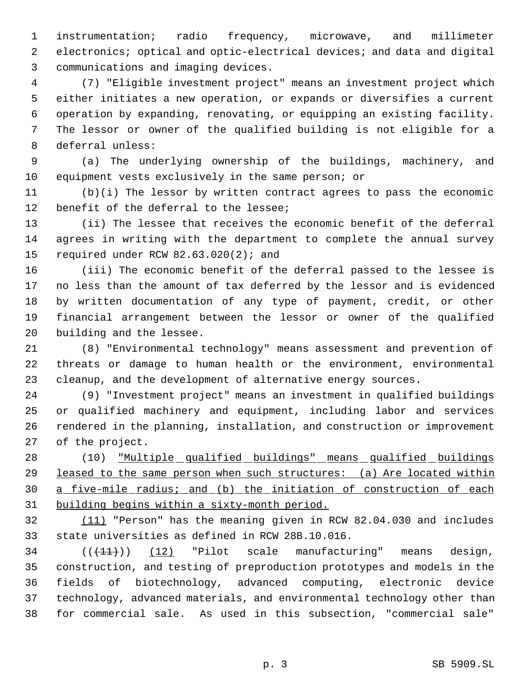instrumentation; radio frequency, microwave, and millimeter electronics; optical and optic-electrical devices; and data and digital communications and imaging devices.

 (7) "Eligible investment project" means an investment project which either initiates a new operation, or expands or diversifies a current operation by expanding, renovating, or equipping an existing facility. The lessor or owner of the qualified building is not eligible for a deferral unless:

 (a) The underlying ownership of the buildings, machinery, and equipment vests exclusively in the same person; or

 (b)(i) The lessor by written contract agrees to pass the economic benefit of the deferral to the lessee;

 (ii) The lessee that receives the economic benefit of the deferral agrees in writing with the department to complete the annual survey required under RCW 82.63.020(2); and

 (iii) The economic benefit of the deferral passed to the lessee is no less than the amount of tax deferred by the lessor and is evidenced by written documentation of any type of payment, credit, or other financial arrangement between the lessor or owner of the qualified building and the lessee.

 (8) "Environmental technology" means assessment and prevention of threats or damage to human health or the environment, environmental cleanup, and the development of alternative energy sources.

 (9) "Investment project" means an investment in qualified buildings or qualified machinery and equipment, including labor and services rendered in the planning, installation, and construction or improvement of the project.

 (10) "Multiple qualified buildings" means qualified buildings 29 leased to the same person when such structures: (a) Are located within a five-mile radius; and (b) the initiation of construction of each building begins within a sixty-month period.

 (11) "Person" has the meaning given in RCW 82.04.030 and includes state universities as defined in RCW 28B.10.016.

 $((+1)^{n})$   $(12)$  "Pilot scale manufacturing" means design, construction, and testing of preproduction prototypes and models in the fields of biotechnology, advanced computing, electronic device technology, advanced materials, and environmental technology other than for commercial sale. As used in this subsection, "commercial sale"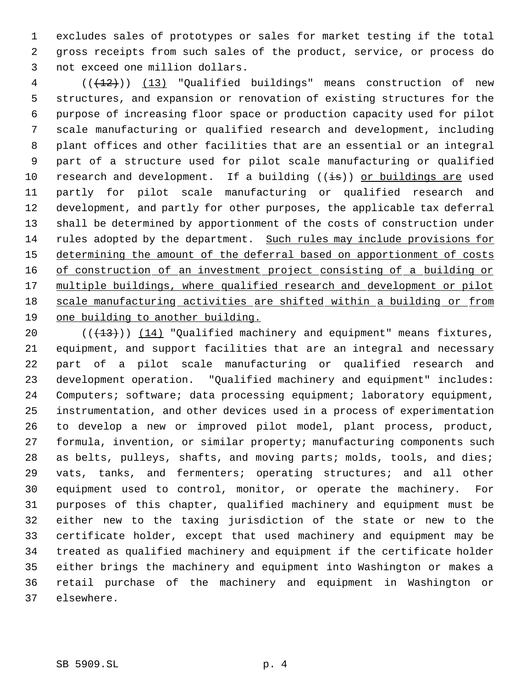excludes sales of prototypes or sales for market testing if the total gross receipts from such sales of the product, service, or process do not exceed one million dollars.

4 (( $(12)$ )) (13) "Qualified buildings" means construction of new structures, and expansion or renovation of existing structures for the purpose of increasing floor space or production capacity used for pilot scale manufacturing or qualified research and development, including plant offices and other facilities that are an essential or an integral part of a structure used for pilot scale manufacturing or qualified 10 research and development. If a building ((is)) or buildings are used partly for pilot scale manufacturing or qualified research and development, and partly for other purposes, the applicable tax deferral shall be determined by apportionment of the costs of construction under rules adopted by the department. Such rules may include provisions for 15 determining the amount of the deferral based on apportionment of costs 16 of construction of an investment project consisting of a building or 17 multiple buildings, where qualified research and development or pilot 18 scale manufacturing activities are shifted within a building or from one building to another building.

 $((+13))$   $(14)$  "Qualified machinery and equipment" means fixtures, equipment, and support facilities that are an integral and necessary part of a pilot scale manufacturing or qualified research and development operation. "Qualified machinery and equipment" includes: Computers; software; data processing equipment; laboratory equipment, instrumentation, and other devices used in a process of experimentation to develop a new or improved pilot model, plant process, product, formula, invention, or similar property; manufacturing components such as belts, pulleys, shafts, and moving parts; molds, tools, and dies; vats, tanks, and fermenters; operating structures; and all other equipment used to control, monitor, or operate the machinery. For purposes of this chapter, qualified machinery and equipment must be either new to the taxing jurisdiction of the state or new to the certificate holder, except that used machinery and equipment may be treated as qualified machinery and equipment if the certificate holder either brings the machinery and equipment into Washington or makes a retail purchase of the machinery and equipment in Washington or elsewhere.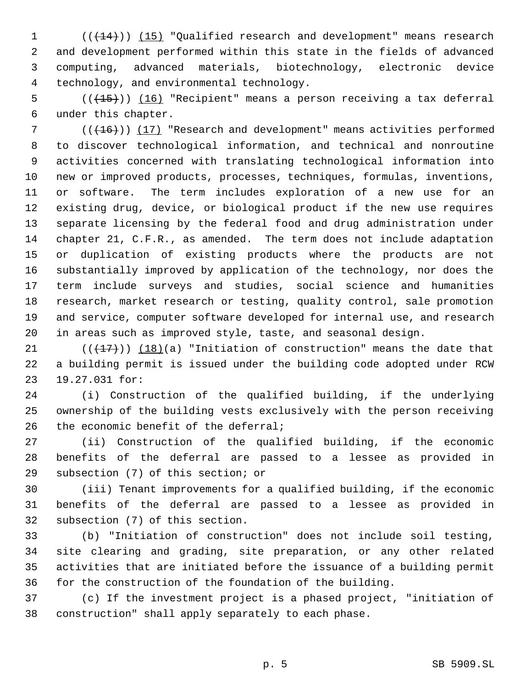1 (( $\left(\frac{14}{11}\right)$ ) (15) "Qualified research and development" means research and development performed within this state in the fields of advanced computing, advanced materials, biotechnology, electronic device technology, and environmental technology.

 $((+15))$   $(16)$  "Recipient" means a person receiving a tax deferral under this chapter.

7 (( $(16)$ )) (17) "Research and development" means activities performed to discover technological information, and technical and nonroutine activities concerned with translating technological information into new or improved products, processes, techniques, formulas, inventions, or software. The term includes exploration of a new use for an existing drug, device, or biological product if the new use requires separate licensing by the federal food and drug administration under chapter 21, C.F.R., as amended. The term does not include adaptation or duplication of existing products where the products are not substantially improved by application of the technology, nor does the term include surveys and studies, social science and humanities research, market research or testing, quality control, sale promotion and service, computer software developed for internal use, and research in areas such as improved style, taste, and seasonal design.

 $((+17))$  (18)(a) "Initiation of construction" means the date that a building permit is issued under the building code adopted under RCW 19.27.031 for:

 (i) Construction of the qualified building, if the underlying ownership of the building vests exclusively with the person receiving 26 the economic benefit of the deferral;

 (ii) Construction of the qualified building, if the economic benefits of the deferral are passed to a lessee as provided in subsection (7) of this section; or

 (iii) Tenant improvements for a qualified building, if the economic benefits of the deferral are passed to a lessee as provided in subsection (7) of this section.

 (b) "Initiation of construction" does not include soil testing, site clearing and grading, site preparation, or any other related activities that are initiated before the issuance of a building permit for the construction of the foundation of the building.

 (c) If the investment project is a phased project, "initiation of construction" shall apply separately to each phase.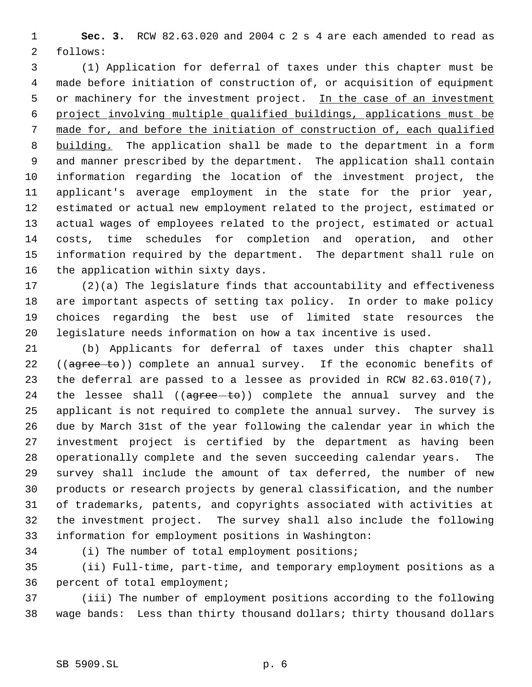**Sec. 3.** RCW 82.63.020 and 2004 c 2 s 4 are each amended to read as follows:

 (1) Application for deferral of taxes under this chapter must be made before initiation of construction of, or acquisition of equipment 5 or machinery for the investment project. In the case of an investment project involving multiple qualified buildings, applications must be made for, and before the initiation of construction of, each qualified 8 building. The application shall be made to the department in a form and manner prescribed by the department. The application shall contain information regarding the location of the investment project, the applicant's average employment in the state for the prior year, estimated or actual new employment related to the project, estimated or actual wages of employees related to the project, estimated or actual costs, time schedules for completion and operation, and other information required by the department. The department shall rule on the application within sixty days.

 (2)(a) The legislature finds that accountability and effectiveness are important aspects of setting tax policy. In order to make policy choices regarding the best use of limited state resources the legislature needs information on how a tax incentive is used.

 (b) Applicants for deferral of taxes under this chapter shall 22 ((agree to)) complete an annual survey. If the economic benefits of the deferral are passed to a lessee as provided in RCW 82.63.010(7), 24 the lessee shall  $((a<sub>g</sub>ree-t<sub>o</sub>))$  complete the annual survey and the applicant is not required to complete the annual survey. The survey is due by March 31st of the year following the calendar year in which the investment project is certified by the department as having been operationally complete and the seven succeeding calendar years. The survey shall include the amount of tax deferred, the number of new products or research projects by general classification, and the number of trademarks, patents, and copyrights associated with activities at the investment project. The survey shall also include the following information for employment positions in Washington:

(i) The number of total employment positions;

 (ii) Full-time, part-time, and temporary employment positions as a percent of total employment;

 (iii) The number of employment positions according to the following wage bands: Less than thirty thousand dollars; thirty thousand dollars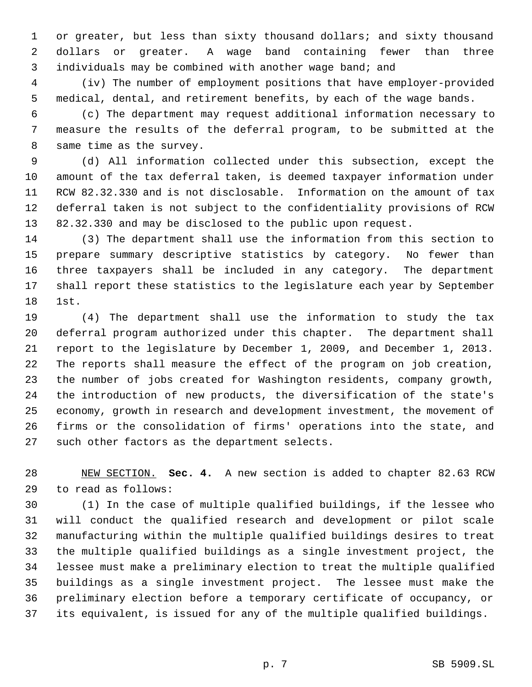or greater, but less than sixty thousand dollars; and sixty thousand dollars or greater. A wage band containing fewer than three individuals may be combined with another wage band; and

 (iv) The number of employment positions that have employer-provided medical, dental, and retirement benefits, by each of the wage bands.

 (c) The department may request additional information necessary to measure the results of the deferral program, to be submitted at the same time as the survey.

 (d) All information collected under this subsection, except the amount of the tax deferral taken, is deemed taxpayer information under RCW 82.32.330 and is not disclosable. Information on the amount of tax deferral taken is not subject to the confidentiality provisions of RCW 82.32.330 and may be disclosed to the public upon request.

 (3) The department shall use the information from this section to prepare summary descriptive statistics by category. No fewer than three taxpayers shall be included in any category. The department shall report these statistics to the legislature each year by September 1st.

 (4) The department shall use the information to study the tax deferral program authorized under this chapter. The department shall report to the legislature by December 1, 2009, and December 1, 2013. The reports shall measure the effect of the program on job creation, the number of jobs created for Washington residents, company growth, the introduction of new products, the diversification of the state's economy, growth in research and development investment, the movement of firms or the consolidation of firms' operations into the state, and such other factors as the department selects.

 NEW SECTION. **Sec. 4.** A new section is added to chapter 82.63 RCW to read as follows:

 (1) In the case of multiple qualified buildings, if the lessee who will conduct the qualified research and development or pilot scale manufacturing within the multiple qualified buildings desires to treat the multiple qualified buildings as a single investment project, the lessee must make a preliminary election to treat the multiple qualified buildings as a single investment project. The lessee must make the preliminary election before a temporary certificate of occupancy, or its equivalent, is issued for any of the multiple qualified buildings.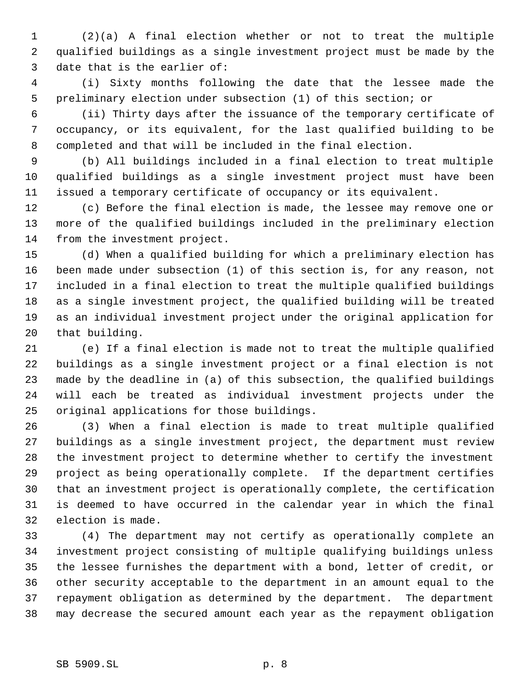(2)(a) A final election whether or not to treat the multiple qualified buildings as a single investment project must be made by the date that is the earlier of:

 (i) Sixty months following the date that the lessee made the preliminary election under subsection (1) of this section; or

 (ii) Thirty days after the issuance of the temporary certificate of occupancy, or its equivalent, for the last qualified building to be completed and that will be included in the final election.

 (b) All buildings included in a final election to treat multiple qualified buildings as a single investment project must have been issued a temporary certificate of occupancy or its equivalent.

 (c) Before the final election is made, the lessee may remove one or more of the qualified buildings included in the preliminary election from the investment project.

 (d) When a qualified building for which a preliminary election has been made under subsection (1) of this section is, for any reason, not included in a final election to treat the multiple qualified buildings as a single investment project, the qualified building will be treated as an individual investment project under the original application for that building.

 (e) If a final election is made not to treat the multiple qualified buildings as a single investment project or a final election is not made by the deadline in (a) of this subsection, the qualified buildings will each be treated as individual investment projects under the original applications for those buildings.

 (3) When a final election is made to treat multiple qualified buildings as a single investment project, the department must review the investment project to determine whether to certify the investment project as being operationally complete. If the department certifies that an investment project is operationally complete, the certification is deemed to have occurred in the calendar year in which the final election is made.

 (4) The department may not certify as operationally complete an investment project consisting of multiple qualifying buildings unless the lessee furnishes the department with a bond, letter of credit, or other security acceptable to the department in an amount equal to the repayment obligation as determined by the department. The department may decrease the secured amount each year as the repayment obligation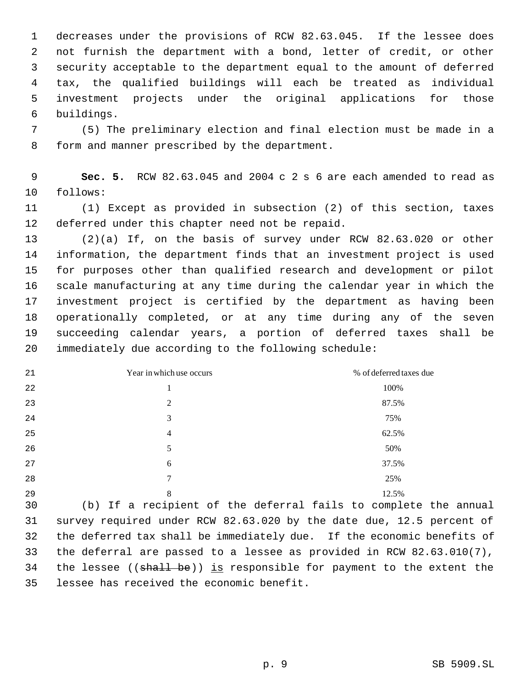decreases under the provisions of RCW 82.63.045. If the lessee does not furnish the department with a bond, letter of credit, or other security acceptable to the department equal to the amount of deferred tax, the qualified buildings will each be treated as individual investment projects under the original applications for those buildings.

 (5) The preliminary election and final election must be made in a form and manner prescribed by the department.

 **Sec. 5.** RCW 82.63.045 and 2004 c 2 s 6 are each amended to read as follows:

 (1) Except as provided in subsection (2) of this section, taxes deferred under this chapter need not be repaid.

 (2)(a) If, on the basis of survey under RCW 82.63.020 or other information, the department finds that an investment project is used for purposes other than qualified research and development or pilot scale manufacturing at any time during the calendar year in which the investment project is certified by the department as having been operationally completed, or at any time during any of the seven succeeding calendar years, a portion of deferred taxes shall be immediately due according to the following schedule:

| 21 | Year in which use occurs | % of deferred taxes due |
|----|--------------------------|-------------------------|
| 22 | 1                        | 100%                    |
| 23 | $\overline{2}$           | 87.5%                   |
| 24 | 3                        | 75%                     |
| 25 | $\overline{4}$           | 62.5%                   |
| 26 | 5                        | 50%                     |
| 27 | 6                        | 37.5%                   |
| 28 | 7                        | 25%                     |
| 29 | 8                        | 12.5%                   |

 (b) If a recipient of the deferral fails to complete the annual survey required under RCW 82.63.020 by the date due, 12.5 percent of the deferred tax shall be immediately due. If the economic benefits of the deferral are passed to a lessee as provided in RCW 82.63.010(7), 34 the lessee ((shall be)) is responsible for payment to the extent the lessee has received the economic benefit.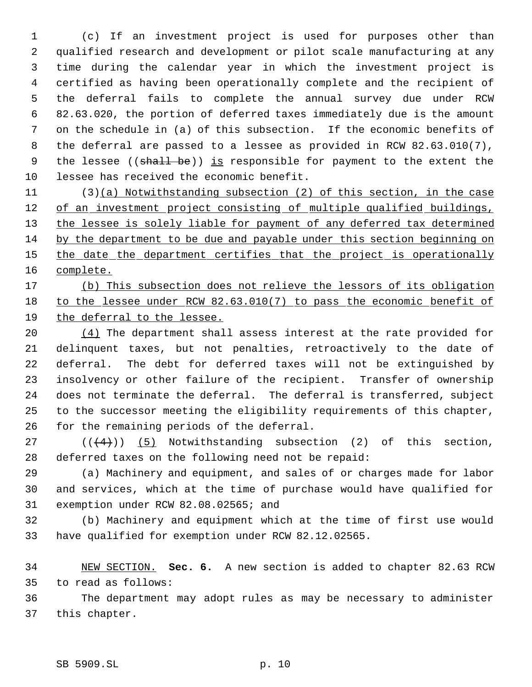(c) If an investment project is used for purposes other than qualified research and development or pilot scale manufacturing at any time during the calendar year in which the investment project is certified as having been operationally complete and the recipient of the deferral fails to complete the annual survey due under RCW 82.63.020, the portion of deferred taxes immediately due is the amount on the schedule in (a) of this subsection. If the economic benefits of the deferral are passed to a lessee as provided in RCW 82.63.010(7), 9 the lessee ((shall be)) is responsible for payment to the extent the lessee has received the economic benefit.

 (3)(a) Notwithstanding subsection (2) of this section, in the case 12 of an investment project consisting of multiple qualified buildings, 13 the lessee is solely liable for payment of any deferred tax determined by the department to be due and payable under this section beginning on 15 the date the department certifies that the project is operationally complete.

## (b) This subsection does not relieve the lessors of its obligation to the lessee under RCW 82.63.010(7) to pass the economic benefit of the deferral to the lessee.

20 (4) The department shall assess interest at the rate provided for delinquent taxes, but not penalties, retroactively to the date of deferral. The debt for deferred taxes will not be extinguished by insolvency or other failure of the recipient. Transfer of ownership does not terminate the deferral. The deferral is transferred, subject to the successor meeting the eligibility requirements of this chapter, for the remaining periods of the deferral.

27  $((+4))$   $(5)$  Notwithstanding subsection (2) of this section, deferred taxes on the following need not be repaid:

 (a) Machinery and equipment, and sales of or charges made for labor and services, which at the time of purchase would have qualified for exemption under RCW 82.08.02565; and

 (b) Machinery and equipment which at the time of first use would have qualified for exemption under RCW 82.12.02565.

 NEW SECTION. **Sec. 6.** A new section is added to chapter 82.63 RCW to read as follows:

 The department may adopt rules as may be necessary to administer this chapter.